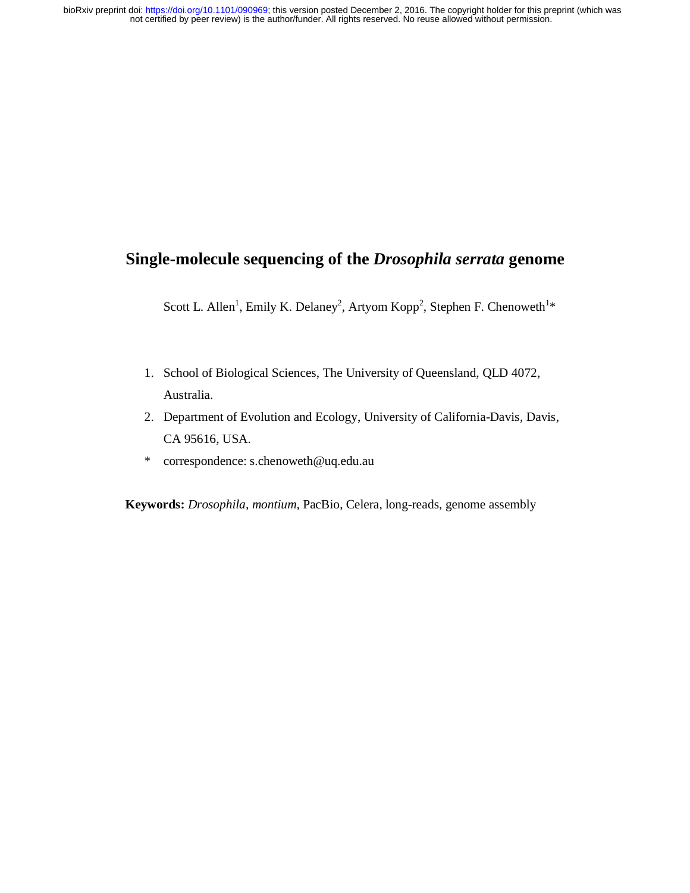# **Single-molecule sequencing of the** *Drosophila serrata* **genome**

Scott L. Allen<sup>1</sup>, Emily K. Delaney<sup>2</sup>, Artyom Kopp<sup>2</sup>, Stephen F. Chenoweth<sup>1\*</sup>

- 1. School of Biological Sciences, The University of Queensland, QLD 4072, Australia.
- 2. Department of Evolution and Ecology, University of California-Davis, Davis, CA 95616, USA.
- \* correspondence: s.chenoweth@uq.edu.au

**Keywords:** *Drosophila, montium,* PacBio, Celera, long-reads, genome assembly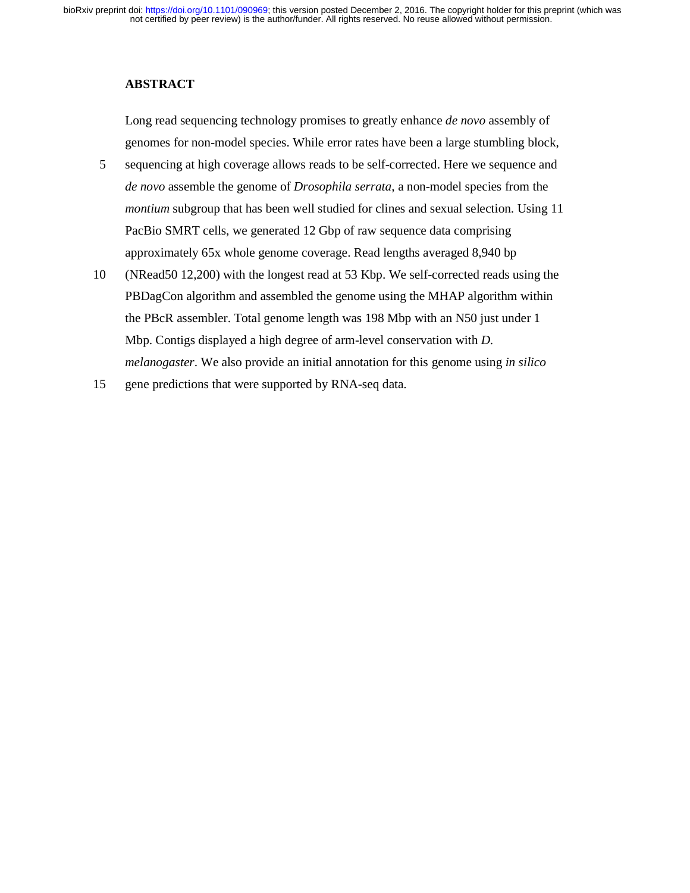# **ABSTRACT**

Long read sequencing technology promises to greatly enhance *de novo* assembly of genomes for non-model species. While error rates have been a large stumbling block,

- 5 sequencing at high coverage allows reads to be self-corrected. Here we sequence and *de novo* assemble the genome of *Drosophila serrata*, a non-model species from the *montium* subgroup that has been well studied for clines and sexual selection. Using 11 PacBio SMRT cells, we generated 12 Gbp of raw sequence data comprising approximately 65x whole genome coverage. Read lengths averaged 8,940 bp
- 10 (NRead50 12,200) with the longest read at 53 Kbp. We self-corrected reads using the PBDagCon algorithm and assembled the genome using the MHAP algorithm within the PBcR assembler. Total genome length was 198 Mbp with an N50 just under 1 Mbp. Contigs displayed a high degree of arm-level conservation with *D. melanogaster*. We also provide an initial annotation for this genome using *in silico*
- 15 gene predictions that were supported by RNA-seq data.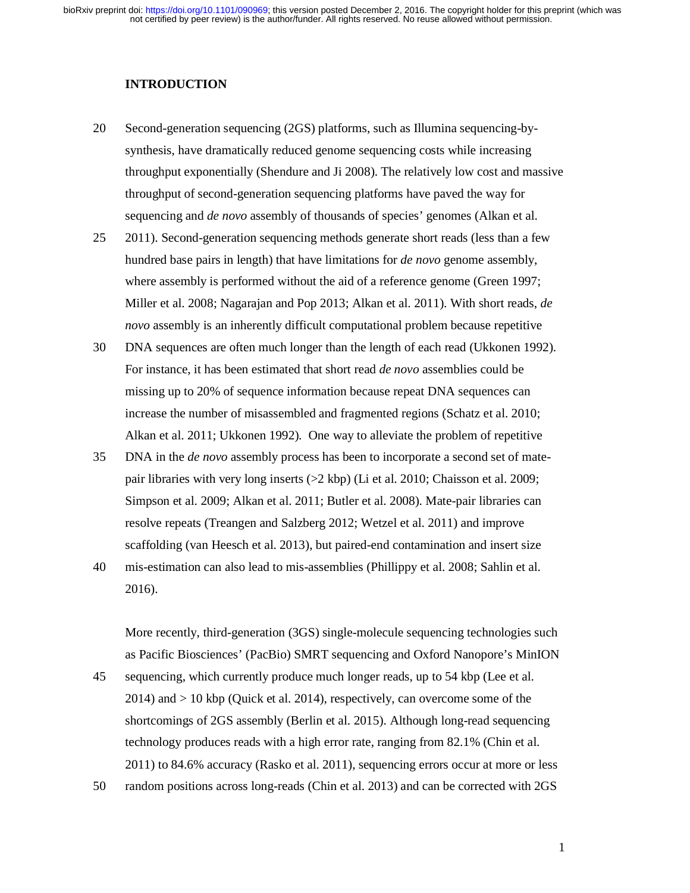#### **INTRODUCTION**

- 20 Second-generation sequencing (2GS) platforms, such as Illumina sequencing-bysynthesis, have dramatically reduced genome sequencing costs while increasing throughput exponentially (Shendure and Ji 2008). The relatively low cost and massive throughput of second-generation sequencing platforms have paved the way for sequencing and *de novo* assembly of thousands of species' genomes (Alkan et al.
- 25 2011). Second-generation sequencing methods generate short reads (less than a few hundred base pairs in length) that have limitations for *de novo* genome assembly, where assembly is performed without the aid of a reference genome (Green 1997; Miller et al. 2008; Nagarajan and Pop 2013; Alkan et al. 2011). With short reads, *de novo* assembly is an inherently difficult computational problem because repetitive
- 30 DNA sequences are often much longer than the length of each read (Ukkonen 1992). For instance, it has been estimated that short read *de novo* assemblies could be missing up to 20% of sequence information because repeat DNA sequences can increase the number of misassembled and fragmented regions (Schatz et al. 2010; Alkan et al. 2011; Ukkonen 1992). One way to alleviate the problem of repetitive
- 35 DNA in the *de novo* assembly process has been to incorporate a second set of matepair libraries with very long inserts (>2 kbp) (Li et al. 2010; Chaisson et al. 2009; Simpson et al. 2009; Alkan et al. 2011; Butler et al. 2008). Mate-pair libraries can resolve repeats (Treangen and Salzberg 2012; Wetzel et al. 2011) and improve scaffolding (van Heesch et al. 2013), but paired-end contamination and insert size
- 40 mis-estimation can also lead to mis-assemblies (Phillippy et al. 2008; Sahlin et al. 2016).

More recently, third-generation (3GS) single-molecule sequencing technologies such as Pacific Biosciences' (PacBio) SMRT sequencing and Oxford Nanopore's MinION

- 45 sequencing, which currently produce much longer reads, up to 54 kbp (Lee et al. 2014) and > 10 kbp (Quick et al. 2014), respectively, can overcome some of the shortcomings of 2GS assembly (Berlin et al. 2015). Although long-read sequencing technology produces reads with a high error rate, ranging from 82.1% (Chin et al. 2011) to 84.6% accuracy (Rasko et al. 2011), sequencing errors occur at more or less
- 50 random positions across long-reads (Chin et al. 2013) and can be corrected with 2GS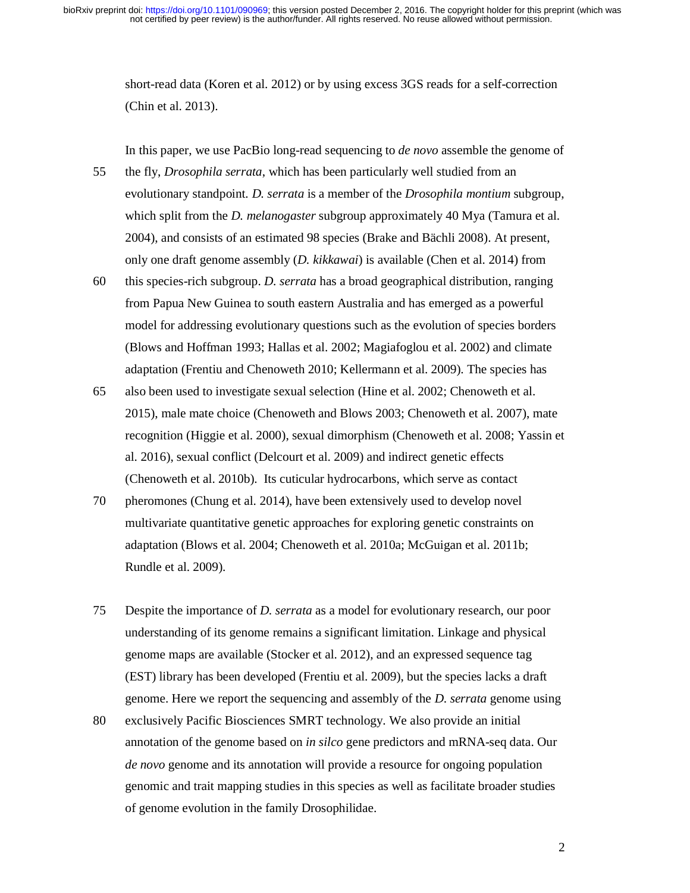short-read data (Koren et al. 2012) or by using excess 3GS reads for a self-correction (Chin et al. 2013).

In this paper, we use PacBio long-read sequencing to *de novo* assemble the genome of

- 55 the fly, *Drosophila serrata*, which has been particularly well studied from an evolutionary standpoint*. D. serrata* is a member of the *Drosophila montium* subgroup, which split from the *D. melanogaster* subgroup approximately 40 Mya (Tamura et al. 2004), and consists of an estimated 98 species (Brake and Bächli 2008). At present, only one draft genome assembly (*D. kikkawai*) is available (Chen et al. 2014) from
- 60 this species-rich subgroup. *D. serrata* has a broad geographical distribution, ranging from Papua New Guinea to south eastern Australia and has emerged as a powerful model for addressing evolutionary questions such as the evolution of species borders (Blows and Hoffman 1993; Hallas et al. 2002; Magiafoglou et al. 2002) and climate adaptation (Frentiu and Chenoweth 2010; Kellermann et al. 2009). The species has
- 65 also been used to investigate sexual selection (Hine et al. 2002; Chenoweth et al. 2015), male mate choice (Chenoweth and Blows 2003; Chenoweth et al. 2007), mate recognition (Higgie et al. 2000), sexual dimorphism (Chenoweth et al. 2008; Yassin et al. 2016), sexual conflict (Delcourt et al. 2009) and indirect genetic effects (Chenoweth et al. 2010b). Its cuticular hydrocarbons, which serve as contact
- 70 pheromones (Chung et al. 2014), have been extensively used to develop novel multivariate quantitative genetic approaches for exploring genetic constraints on adaptation (Blows et al. 2004; Chenoweth et al. 2010a; McGuigan et al. 2011b; Rundle et al. 2009).
- 75 Despite the importance of *D. serrata* as a model for evolutionary research, our poor understanding of its genome remains a significant limitation. Linkage and physical genome maps are available (Stocker et al. 2012), and an expressed sequence tag (EST) library has been developed (Frentiu et al. 2009), but the species lacks a draft genome. Here we report the sequencing and assembly of the *D. serrata* genome using
- 80 exclusively Pacific Biosciences SMRT technology. We also provide an initial annotation of the genome based on *in silco* gene predictors and mRNA-seq data. Our *de novo* genome and its annotation will provide a resource for ongoing population genomic and trait mapping studies in this species as well as facilitate broader studies of genome evolution in the family Drosophilidae.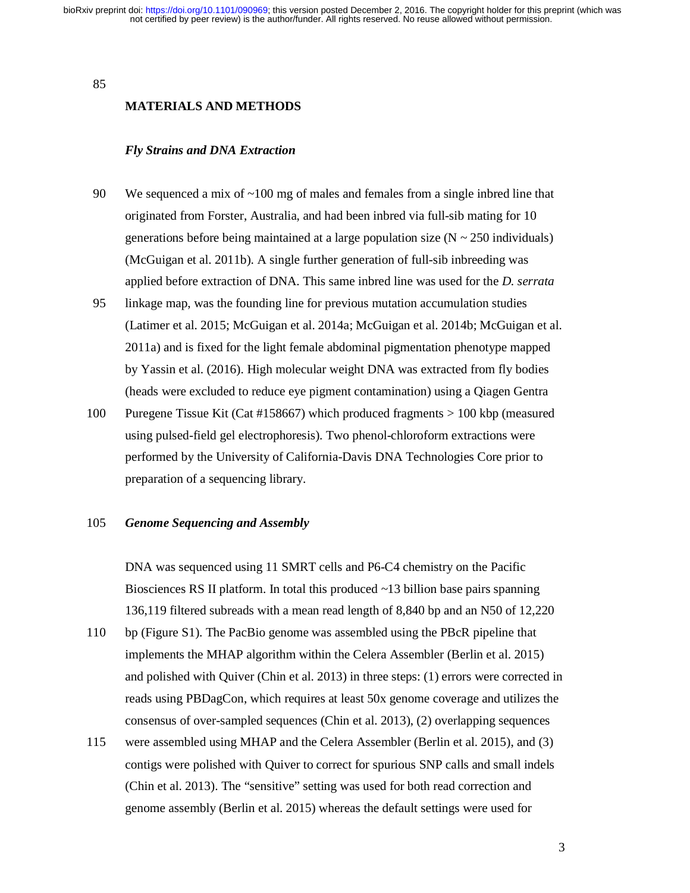85

# **MATERIALS AND METHODS**

#### *Fly Strains and DNA Extraction*

- 90 We sequenced a mix of ~100 mg of males and females from a single inbred line that originated from Forster, Australia, and had been inbred via full-sib mating for 10 generations before being maintained at a large population size  $(N \sim 250$  individuals) (McGuigan et al. 2011b). A single further generation of full-sib inbreeding was applied before extraction of DNA. This same inbred line was used for the *D. serrata*
- 95 linkage map, was the founding line for previous mutation accumulation studies (Latimer et al. 2015; McGuigan et al. 2014a; McGuigan et al. 2014b; McGuigan et al. 2011a) and is fixed for the light female abdominal pigmentation phenotype mapped by Yassin et al. (2016). High molecular weight DNA was extracted from fly bodies (heads were excluded to reduce eye pigment contamination) using a Qiagen Gentra
- 100 Puregene Tissue Kit (Cat #158667) which produced fragments > 100 kbp (measured using pulsed-field gel electrophoresis). Two phenol-chloroform extractions were performed by the University of California-Davis DNA Technologies Core prior to preparation of a sequencing library.

### 105 *Genome Sequencing and Assembly*

DNA was sequenced using 11 SMRT cells and P6-C4 chemistry on the Pacific Biosciences RS II platform. In total this produced ~13 billion base pairs spanning 136,119 filtered subreads with a mean read length of 8,840 bp and an N50 of 12,220

- 110 bp (Figure S1). The PacBio genome was assembled using the PBcR pipeline that implements the MHAP algorithm within the Celera Assembler (Berlin et al. 2015) and polished with Quiver (Chin et al. 2013) in three steps: (1) errors were corrected in reads using PBDagCon, which requires at least 50x genome coverage and utilizes the consensus of over-sampled sequences (Chin et al. 2013), (2) overlapping sequences
- 115 were assembled using MHAP and the Celera Assembler (Berlin et al. 2015), and (3) contigs were polished with Quiver to correct for spurious SNP calls and small indels (Chin et al. 2013). The "sensitive" setting was used for both read correction and genome assembly (Berlin et al. 2015) whereas the default settings were used for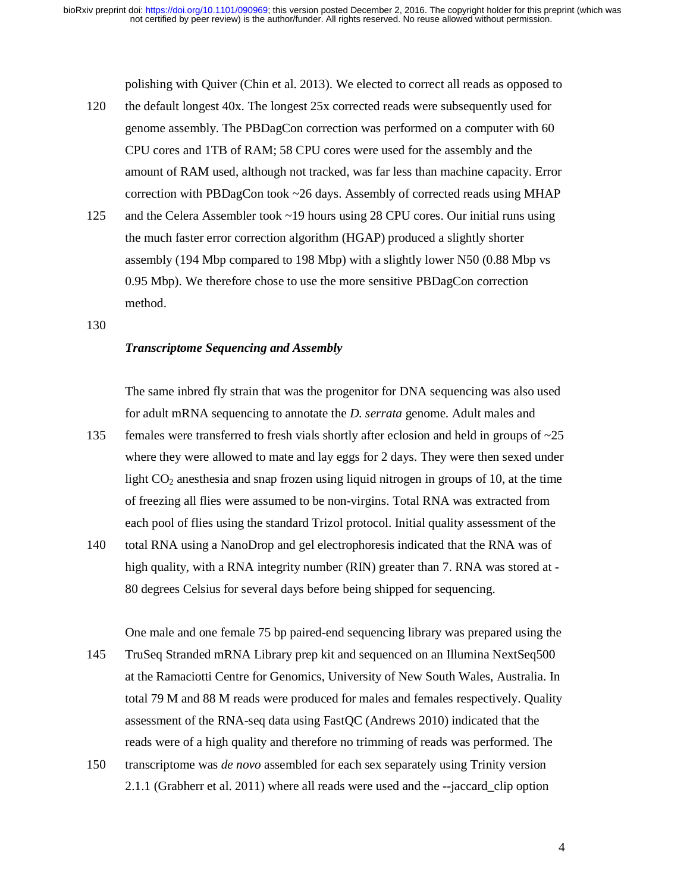polishing with Quiver (Chin et al. 2013). We elected to correct all reads as opposed to

- 120 the default longest 40x. The longest 25x corrected reads were subsequently used for genome assembly. The PBDagCon correction was performed on a computer with 60 CPU cores and 1TB of RAM; 58 CPU cores were used for the assembly and the amount of RAM used, although not tracked, was far less than machine capacity. Error correction with PBDagCon took  $\sim$  26 days. Assembly of corrected reads using MHAP
- 125 and the Celera Assembler took ~19 hours using 28 CPU cores. Our initial runs using the much faster error correction algorithm (HGAP) produced a slightly shorter assembly (194 Mbp compared to 198 Mbp) with a slightly lower N50 (0.88 Mbp vs 0.95 Mbp). We therefore chose to use the more sensitive PBDagCon correction method.
- 130

#### *Transcriptome Sequencing and Assembly*

The same inbred fly strain that was the progenitor for DNA sequencing was also used for adult mRNA sequencing to annotate the *D. serrata* genome. Adult males and

- 135 females were transferred to fresh vials shortly after eclosion and held in groups of  $\sim$ 25 where they were allowed to mate and lay eggs for 2 days. They were then sexed under light  $CO<sub>2</sub>$  anesthesia and snap frozen using liquid nitrogen in groups of 10, at the time of freezing all flies were assumed to be non-virgins. Total RNA was extracted from each pool of flies using the standard Trizol protocol. Initial quality assessment of the
- 140 total RNA using a NanoDrop and gel electrophoresis indicated that the RNA was of high quality, with a RNA integrity number (RIN) greater than 7. RNA was stored at -80 degrees Celsius for several days before being shipped for sequencing.
- One male and one female 75 bp paired-end sequencing library was prepared using the 145 TruSeq Stranded mRNA Library prep kit and sequenced on an Illumina NextSeq500 at the Ramaciotti Centre for Genomics, University of New South Wales, Australia. In total 79 M and 88 M reads were produced for males and females respectively. Quality assessment of the RNA-seq data using FastQC (Andrews 2010) indicated that the reads were of a high quality and therefore no trimming of reads was performed. The
- 150 transcriptome was *de novo* assembled for each sex separately using Trinity version 2.1.1 (Grabherr et al. 2011) where all reads were used and the --jaccard\_clip option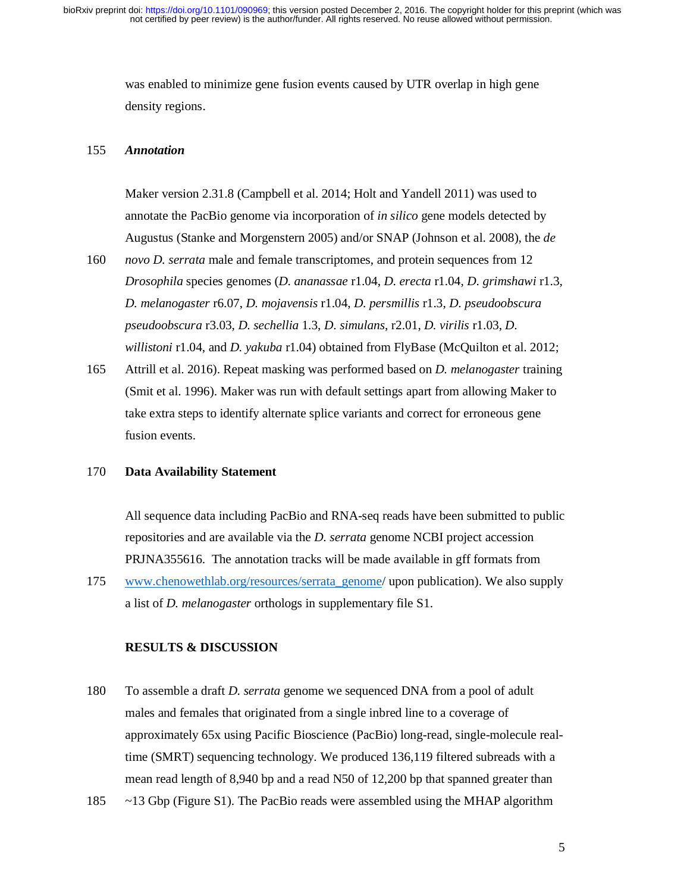was enabled to minimize gene fusion events caused by UTR overlap in high gene density regions.

### 155 *Annotation*

Maker version 2.31.8 (Campbell et al. 2014; Holt and Yandell 2011) was used to annotate the PacBio genome via incorporation of *in silico* gene models detected by Augustus (Stanke and Morgenstern 2005) and/or SNAP (Johnson et al. 2008), the *de* 

- 160 *novo D. serrata* male and female transcriptomes, and protein sequences from 12 *Drosophila* species genomes (*D. ananassae* r1.04, *D. erecta* r1.04, *D. grimshawi* r1.3, *D. melanogaster* r6.07, *D. mojavensis* r1.04, *D. persmillis* r1.3, *D. pseudoobscura pseudoobscura* r3.03, *D. sechellia* 1.3, *D. simulans*, r2.01, *D. virilis* r1.03, *D. willistoni* r1.04, and *D. yakuba* r1.04) obtained from FlyBase (McQuilton et al. 2012;
- 165 Attrill et al. 2016). Repeat masking was performed based on *D. melanogaster* training (Smit et al. 1996). Maker was run with default settings apart from allowing Maker to take extra steps to identify alternate splice variants and correct for erroneous gene fusion events.

### 170 **Data Availability Statement**

All sequence data including PacBio and RNA-seq reads have been submitted to public repositories and are available via the *D. serrata* genome NCBI project accession PRJNA355616. The annotation tracks will be made available in gff formats from

175 www.chenowethlab.org/resources/serrata\_genome/ upon publication). We also supply a list of *D. melanogaster* orthologs in supplementary file S1.

#### **RESULTS & DISCUSSION**

- 180 To assemble a draft *D. serrata* genome we sequenced DNA from a pool of adult males and females that originated from a single inbred line to a coverage of approximately 65x using Pacific Bioscience (PacBio) long-read, single-molecule realtime (SMRT) sequencing technology. We produced 136,119 filtered subreads with a mean read length of 8,940 bp and a read N50 of 12,200 bp that spanned greater than
- 185 ~13 Gbp (Figure S1). The PacBio reads were assembled using the MHAP algorithm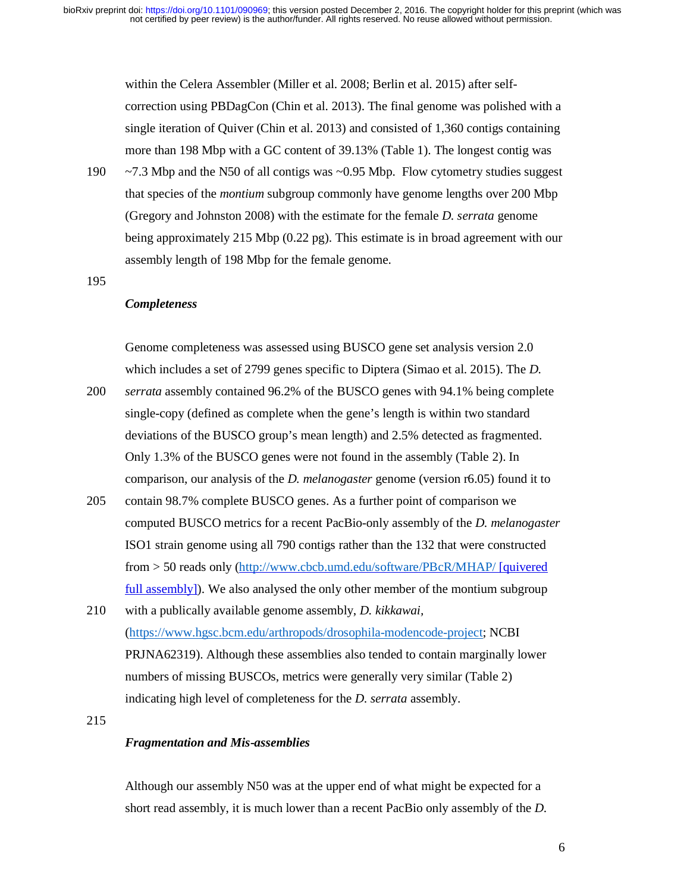within the Celera Assembler (Miller et al. 2008; Berlin et al. 2015) after selfcorrection using PBDagCon (Chin et al. 2013). The final genome was polished with a single iteration of Quiver (Chin et al. 2013) and consisted of 1,360 contigs containing more than 198 Mbp with a GC content of 39.13% (Table 1). The longest contig was

190 ~7.3 Mbp and the N50 of all contigs was ~0.95 Mbp. Flow cytometry studies suggest that species of the *montium* subgroup commonly have genome lengths over 200 Mbp (Gregory and Johnston 2008) with the estimate for the female *D. serrata* genome being approximately 215 Mbp (0.22 pg). This estimate is in broad agreement with our assembly length of 198 Mbp for the female genome.

195

#### *Completeness*

Genome completeness was assessed using BUSCO gene set analysis version 2.0 which includes a set of 2799 genes specific to Diptera (Simao et al. 2015). The *D.* 

- 200 *serrata* assembly contained 96.2% of the BUSCO genes with 94.1% being complete single-copy (defined as complete when the gene's length is within two standard deviations of the BUSCO group's mean length) and 2.5% detected as fragmented. Only 1.3% of the BUSCO genes were not found in the assembly (Table 2). In comparison, our analysis of the *D. melanogaster* genome (version r6.05) found it to
- 205 contain 98.7% complete BUSCO genes. As a further point of comparison we computed BUSCO metrics for a recent PacBio-only assembly of the *D. melanogaster* ISO1 strain genome using all 790 contigs rather than the 132 that were constructed from > 50 reads only (http://www.cbcb.umd.edu/software/PBcR/MHAP/ [quivered full assembly]). We also analysed the only other member of the montium subgroup
- 210 with a publically available genome assembly, *D. kikkawai,*  (https://www.hgsc.bcm.edu/arthropods/drosophila-modencode-project; NCBI PRJNA62319). Although these assemblies also tended to contain marginally lower numbers of missing BUSCOs, metrics were generally very similar (Table 2) indicating high level of completeness for the *D. serrata* assembly.

215

#### *Fragmentation and Mis-assemblies*

Although our assembly N50 was at the upper end of what might be expected for a short read assembly, it is much lower than a recent PacBio only assembly of the *D.*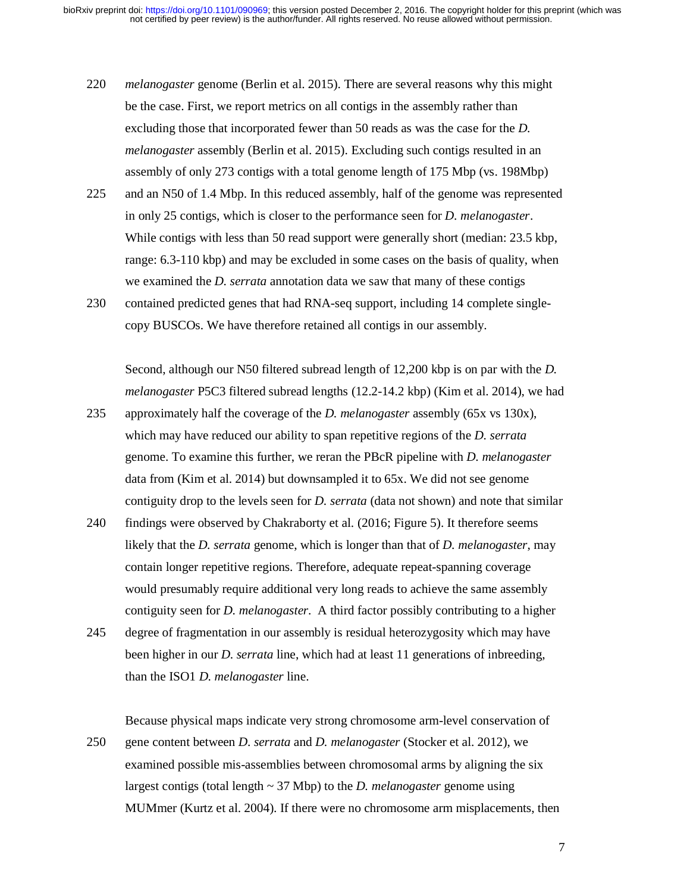- 220 *melanogaster* genome (Berlin et al. 2015). There are several reasons why this might be the case. First, we report metrics on all contigs in the assembly rather than excluding those that incorporated fewer than 50 reads as was the case for the *D. melanogaster* assembly (Berlin et al. 2015). Excluding such contigs resulted in an assembly of only 273 contigs with a total genome length of 175 Mbp (vs. 198Mbp)
- 225 and an N50 of 1.4 Mbp. In this reduced assembly, half of the genome was represented in only 25 contigs, which is closer to the performance seen for *D. melanogaster*. While contigs with less than 50 read support were generally short (median: 23.5 kbp, range: 6.3-110 kbp) and may be excluded in some cases on the basis of quality, when we examined the *D. serrata* annotation data we saw that many of these contigs
- 230 contained predicted genes that had RNA-seq support, including 14 complete singlecopy BUSCOs. We have therefore retained all contigs in our assembly.

Second, although our N50 filtered subread length of 12,200 kbp is on par with the *D. melanogaster* P5C3 filtered subread lengths (12.2-14.2 kbp) (Kim et al. 2014), we had

- 235 approximately half the coverage of the *D. melanogaster* assembly (65x vs 130x), which may have reduced our ability to span repetitive regions of the *D. serrata* genome. To examine this further, we reran the PBcR pipeline with *D. melanogaster*  data from (Kim et al. 2014) but downsampled it to 65x. We did not see genome contiguity drop to the levels seen for *D. serrata* (data not shown) and note that similar
- 240 findings were observed by Chakraborty et al. (2016; Figure 5). It therefore seems likely that the *D. serrata* genome, which is longer than that of *D. melanogaster*, may contain longer repetitive regions*.* Therefore, adequate repeat-spanning coverage would presumably require additional very long reads to achieve the same assembly contiguity seen for *D. melanogaster*. A third factor possibly contributing to a higher
- 245 degree of fragmentation in our assembly is residual heterozygosity which may have been higher in our *D. serrata* line, which had at least 11 generations of inbreeding, than the ISO1 *D. melanogaster* line.

Because physical maps indicate very strong chromosome arm-level conservation of 250 gene content between *D. serrata* and *D. melanogaster* (Stocker et al. 2012), we examined possible mis-assemblies between chromosomal arms by aligning the six largest contigs (total length ~ 37 Mbp) to the *D. melanogaster* genome using MUMmer (Kurtz et al. 2004). If there were no chromosome arm misplacements, then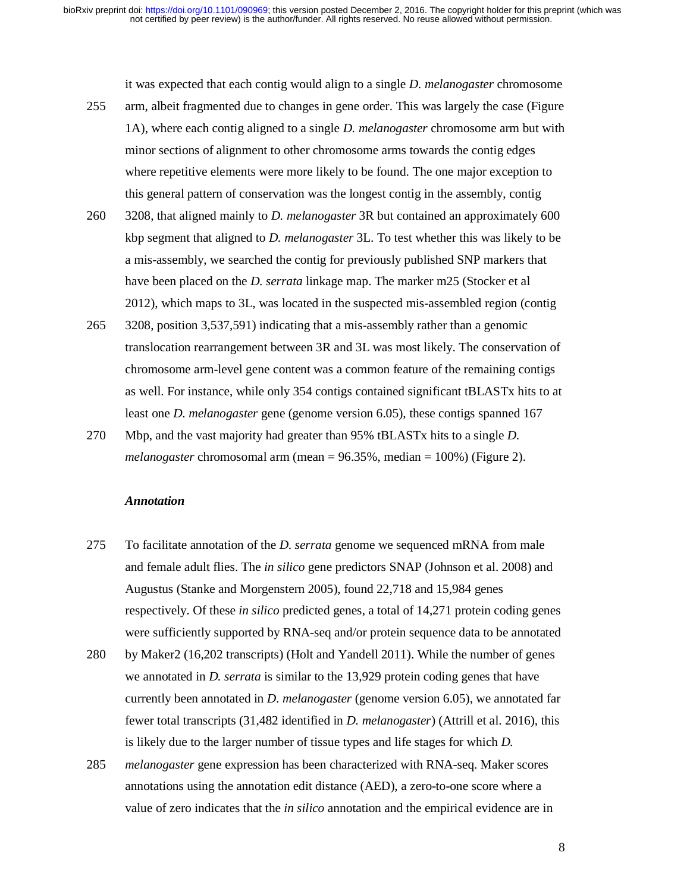it was expected that each contig would align to a single *D. melanogaster* chromosome

- 255 arm, albeit fragmented due to changes in gene order. This was largely the case (Figure 1A), where each contig aligned to a single *D. melanogaster* chromosome arm but with minor sections of alignment to other chromosome arms towards the contig edges where repetitive elements were more likely to be found. The one major exception to this general pattern of conservation was the longest contig in the assembly, contig
- 260 3208, that aligned mainly to *D. melanogaster* 3R but contained an approximately 600 kbp segment that aligned to *D. melanogaster* 3L. To test whether this was likely to be a mis-assembly, we searched the contig for previously published SNP markers that have been placed on the *D. serrata* linkage map. The marker m25 (Stocker et al 2012), which maps to 3L, was located in the suspected mis-assembled region (contig
- 265 3208, position 3,537,591) indicating that a mis-assembly rather than a genomic translocation rearrangement between 3R and 3L was most likely. The conservation of chromosome arm-level gene content was a common feature of the remaining contigs as well. For instance, while only 354 contigs contained significant tBLASTx hits to at least one *D. melanogaster* gene (genome version 6.05), these contigs spanned 167
- 270 Mbp, and the vast majority had greater than 95% tBLASTx hits to a single *D. melanogaster* chromosomal arm (mean = 96.35%, median = 100%) (Figure 2).

#### *Annotation*

- 275 To facilitate annotation of the *D. serrata* genome we sequenced mRNA from male and female adult flies. The *in silico* gene predictors SNAP (Johnson et al. 2008) and Augustus (Stanke and Morgenstern 2005), found 22,718 and 15,984 genes respectively. Of these *in silico* predicted genes, a total of 14,271 protein coding genes were sufficiently supported by RNA-seq and/or protein sequence data to be annotated
- 280 by Maker2 (16,202 transcripts) (Holt and Yandell 2011). While the number of genes we annotated in *D. serrata* is similar to the 13,929 protein coding genes that have currently been annotated in *D. melanogaster* (genome version 6.05), we annotated far fewer total transcripts (31,482 identified in *D. melanogaster*) (Attrill et al. 2016), this is likely due to the larger number of tissue types and life stages for which *D.*
- 285 *melanogaster* gene expression has been characterized with RNA-seq. Maker scores annotations using the annotation edit distance (AED), a zero-to-one score where a value of zero indicates that the *in silico* annotation and the empirical evidence are in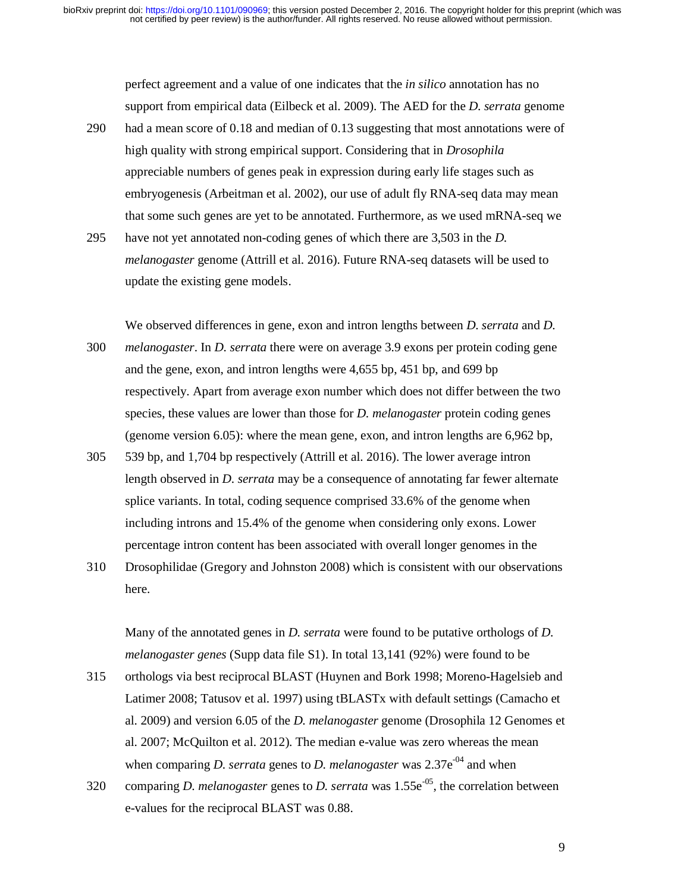perfect agreement and a value of one indicates that the *in silico* annotation has no support from empirical data (Eilbeck et al. 2009). The AED for the *D. serrata* genome

- 290 had a mean score of 0.18 and median of 0.13 suggesting that most annotations were of high quality with strong empirical support. Considering that in *Drosophila* appreciable numbers of genes peak in expression during early life stages such as embryogenesis (Arbeitman et al. 2002), our use of adult fly RNA-seq data may mean that some such genes are yet to be annotated. Furthermore, as we used mRNA-seq we
- 295 have not yet annotated non-coding genes of which there are 3,503 in the *D. melanogaster* genome (Attrill et al. 2016). Future RNA-seq datasets will be used to update the existing gene models.

We observed differences in gene, exon and intron lengths between *D. serrata* and *D.* 

- 300 *melanogaster*. In *D. serrata* there were on average 3.9 exons per protein coding gene and the gene, exon, and intron lengths were 4,655 bp, 451 bp, and 699 bp respectively. Apart from average exon number which does not differ between the two species, these values are lower than those for *D. melanogaster* protein coding genes (genome version 6.05): where the mean gene, exon, and intron lengths are 6,962 bp,
- 305 539 bp, and 1,704 bp respectively (Attrill et al. 2016). The lower average intron length observed in *D. serrata* may be a consequence of annotating far fewer alternate splice variants. In total, coding sequence comprised 33.6% of the genome when including introns and 15.4% of the genome when considering only exons. Lower percentage intron content has been associated with overall longer genomes in the
- 310 Drosophilidae (Gregory and Johnston 2008) which is consistent with our observations here.

Many of the annotated genes in *D. serrata* were found to be putative orthologs of *D. melanogaster genes* (Supp data file S1). In total 13,141 (92%) were found to be

- 315 orthologs via best reciprocal BLAST (Huynen and Bork 1998; Moreno-Hagelsieb and Latimer 2008; Tatusov et al. 1997) using tBLASTx with default settings (Camacho et al. 2009) and version 6.05 of the *D. melanogaster* genome (Drosophila 12 Genomes et al. 2007; McQuilton et al. 2012). The median e-value was zero whereas the mean when comparing *D. serrata* genes to *D. melanogaster* was 2.37e<sup>-04</sup> and when
- 320 comparing *D. melanogaster genes to D. serrata* was 1.55e<sup>-05</sup>, the correlation between e-values for the reciprocal BLAST was 0.88.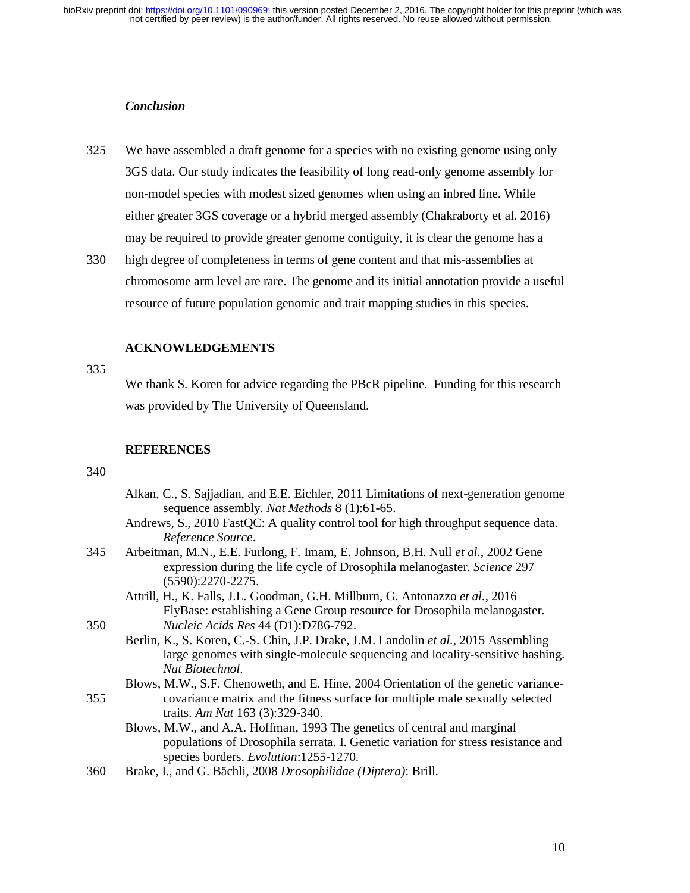### *Conclusion*

- 325 We have assembled a draft genome for a species with no existing genome using only 3GS data. Our study indicates the feasibility of long read-only genome assembly for non-model species with modest sized genomes when using an inbred line. While either greater 3GS coverage or a hybrid merged assembly (Chakraborty et al. 2016) may be required to provide greater genome contiguity, it is clear the genome has a
- 330 high degree of completeness in terms of gene content and that mis-assemblies at chromosome arm level are rare. The genome and its initial annotation provide a useful resource of future population genomic and trait mapping studies in this species.

# **ACKNOWLEDGEMENTS**

335

We thank S. Koren for advice regarding the PBcR pipeline. Funding for this research was provided by The University of Queensland.

#### **REFERENCES**

| Alkan, C., S. Sajjadian, and E.E. Eichler, 2011 Limitations of next-generation genome |  |
|---------------------------------------------------------------------------------------|--|
| sequence assembly. <i>Nat Methods</i> 8 (1):61-65.                                    |  |

- Andrews, S., 2010 FastQC: A quality control tool for high throughput sequence data. *Reference Source*.
- 345 Arbeitman, M.N., E.E. Furlong, F. Imam, E. Johnson, B.H. Null *et al.*, 2002 Gene expression during the life cycle of Drosophila melanogaster. *Science* 297 (5590):2270-2275.
- Attrill, H., K. Falls, J.L. Goodman, G.H. Millburn, G. Antonazzo *et al.*, 2016 FlyBase: establishing a Gene Group resource for Drosophila melanogaster. 350 *Nucleic Acids Res* 44 (D1):D786-792.
	- Berlin, K., S. Koren, C.-S. Chin, J.P. Drake, J.M. Landolin *et al.*, 2015 Assembling large genomes with single-molecule sequencing and locality-sensitive hashing. *Nat Biotechnol*.
- Blows, M.W., S.F. Chenoweth, and E. Hine, 2004 Orientation of the genetic variance-355 covariance matrix and the fitness surface for multiple male sexually selected traits. *Am Nat* 163 (3):329-340.
	- Blows, M.W., and A.A. Hoffman, 1993 The genetics of central and marginal populations of Drosophila serrata. I. Genetic variation for stress resistance and species borders. *Evolution*:1255-1270.
- 360 Brake, I., and G. Bächli, 2008 *Drosophilidae (Diptera)*: Brill.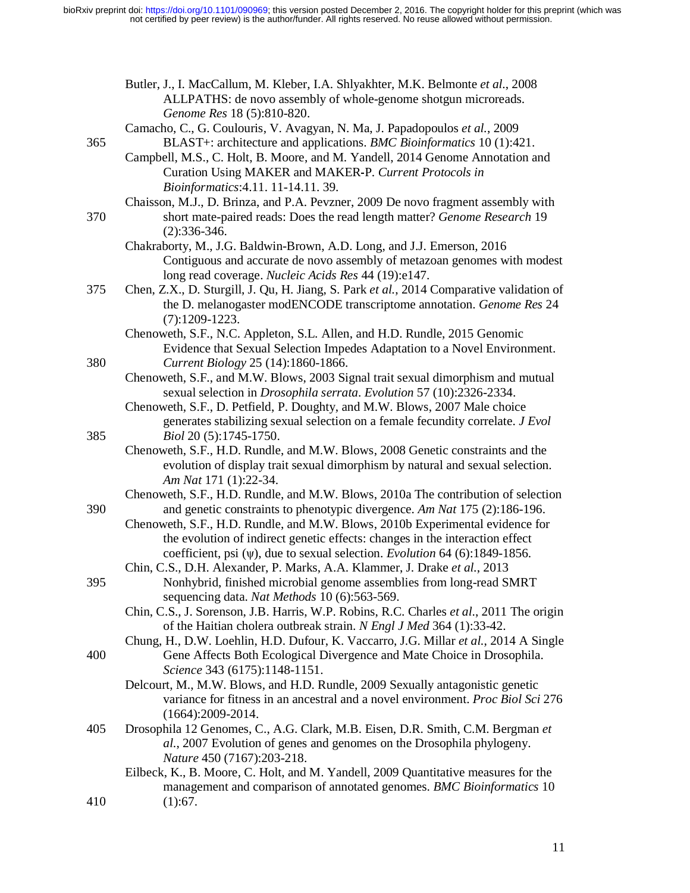|     | Butler, J., I. MacCallum, M. Kleber, I.A. Shlyakhter, M.K. Belmonte et al., 2008                                                                            |
|-----|-------------------------------------------------------------------------------------------------------------------------------------------------------------|
|     | ALLPATHS: de novo assembly of whole-genome shotgun microreads.                                                                                              |
|     | Genome Res 18 (5):810-820.                                                                                                                                  |
|     | Camacho, C., G. Coulouris, V. Avagyan, N. Ma, J. Papadopoulos et al., 2009                                                                                  |
| 365 | BLAST+: architecture and applications. BMC Bioinformatics 10 (1):421.                                                                                       |
|     | Campbell, M.S., C. Holt, B. Moore, and M. Yandell, 2014 Genome Annotation and                                                                               |
|     | Curation Using MAKER and MAKER-P. Current Protocols in                                                                                                      |
|     | Bioinformatics: 4.11. 11-14.11. 39.                                                                                                                         |
|     | Chaisson, M.J., D. Brinza, and P.A. Pevzner, 2009 De novo fragment assembly with                                                                            |
| 370 | short mate-paired reads: Does the read length matter? Genome Research 19                                                                                    |
|     | $(2):336-346.$                                                                                                                                              |
|     | Chakraborty, M., J.G. Baldwin-Brown, A.D. Long, and J.J. Emerson, 2016                                                                                      |
|     | Contiguous and accurate de novo assembly of metazoan genomes with modest                                                                                    |
|     | long read coverage. Nucleic Acids Res 44 (19):e147.                                                                                                         |
| 375 | Chen, Z.X., D. Sturgill, J. Qu, H. Jiang, S. Park et al., 2014 Comparative validation of                                                                    |
|     | the D. melanogaster modENCODE transcriptome annotation. Genome Res 24                                                                                       |
|     | $(7):1209-1223.$                                                                                                                                            |
|     | Chenoweth, S.F., N.C. Appleton, S.L. Allen, and H.D. Rundle, 2015 Genomic                                                                                   |
|     | Evidence that Sexual Selection Impedes Adaptation to a Novel Environment.                                                                                   |
| 380 | Current Biology 25 (14):1860-1866.                                                                                                                          |
|     | Chenoweth, S.F., and M.W. Blows, 2003 Signal trait sexual dimorphism and mutual                                                                             |
|     | sexual selection in Drosophila serrata. Evolution 57 (10):2326-2334.                                                                                        |
|     | Chenoweth, S.F., D. Petfield, P. Doughty, and M.W. Blows, 2007 Male choice                                                                                  |
|     | generates stabilizing sexual selection on a female fecundity correlate. J Evol                                                                              |
| 385 | Biol 20 (5):1745-1750.                                                                                                                                      |
|     | Chenoweth, S.F., H.D. Rundle, and M.W. Blows, 2008 Genetic constraints and the                                                                              |
|     | evolution of display trait sexual dimorphism by natural and sexual selection.                                                                               |
|     | Am Nat 171 (1):22-34.                                                                                                                                       |
|     | Chenoweth, S.F., H.D. Rundle, and M.W. Blows, 2010a The contribution of selection                                                                           |
| 390 | and genetic constraints to phenotypic divergence. Am Nat 175 (2):186-196.                                                                                   |
|     | Chenoweth, S.F., H.D. Rundle, and M.W. Blows, 2010b Experimental evidence for                                                                               |
|     | the evolution of indirect genetic effects: changes in the interaction effect                                                                                |
|     | coefficient, psi $(\psi)$ , due to sexual selection. <i>Evolution</i> 64 (6):1849-1856.                                                                     |
|     | Chin, C.S., D.H. Alexander, P. Marks, A.A. Klammer, J. Drake et al., 2013                                                                                   |
| 395 | Nonhybrid, finished microbial genome assemblies from long-read SMRT                                                                                         |
|     | sequencing data. Nat Methods 10 (6):563-569.                                                                                                                |
|     | Chin, C.S., J. Sorenson, J.B. Harris, W.P. Robins, R.C. Charles et al., 2011 The origin                                                                     |
|     | of the Haitian cholera outbreak strain. N Engl J Med 364 (1):33-42.<br>Chung, H., D.W. Loehlin, H.D. Dufour, K. Vaccarro, J.G. Millar et al., 2014 A Single |
| 400 | Gene Affects Both Ecological Divergence and Mate Choice in Drosophila.                                                                                      |
|     |                                                                                                                                                             |
|     | Science 343 (6175):1148-1151.<br>Delcourt, M., M.W. Blows, and H.D. Rundle, 2009 Sexually antagonistic genetic                                              |
|     | variance for fitness in an ancestral and a novel environment. Proc Biol Sci 276                                                                             |
|     | $(1664):2009-2014.$                                                                                                                                         |
| 405 | Drosophila 12 Genomes, C., A.G. Clark, M.B. Eisen, D.R. Smith, C.M. Bergman et                                                                              |
|     | al., 2007 Evolution of genes and genomes on the Drosophila phylogeny.                                                                                       |
|     | Nature 450 (7167):203-218.                                                                                                                                  |
|     | Eilbeck, K., B. Moore, C. Holt, and M. Yandell, 2009 Quantitative measures for the                                                                          |
|     | management and comparison of annotated genomes. BMC Bioinformatics 10                                                                                       |
| 410 | (1):67.                                                                                                                                                     |
|     |                                                                                                                                                             |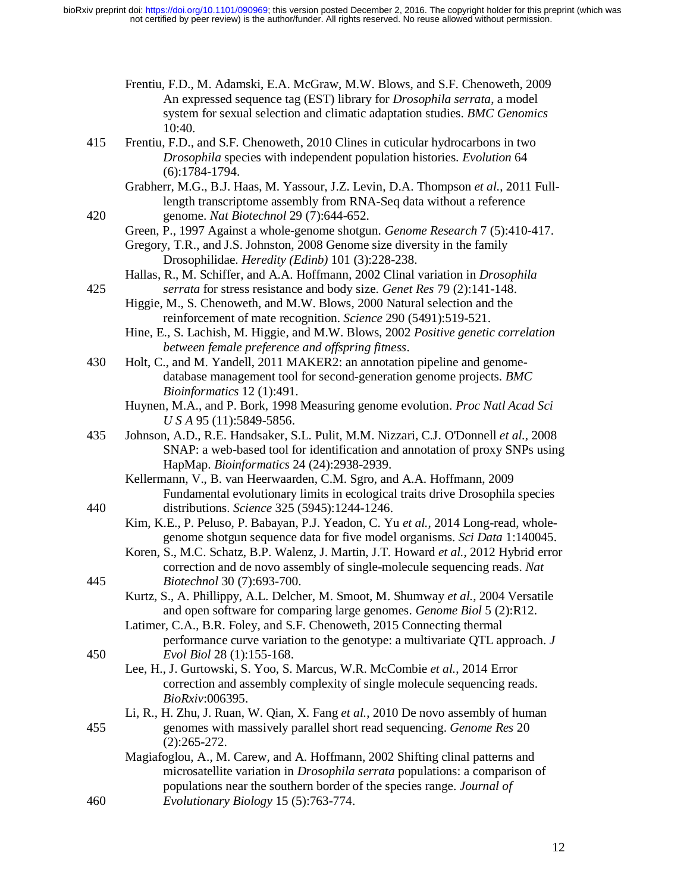| Frentiu, F.D., M. Adamski, E.A. McGraw, M.W. Blows, and S.F. Chenoweth, 2009    |
|---------------------------------------------------------------------------------|
| An expressed sequence tag (EST) library for <i>Drosophila serrata</i> , a model |
| system for sexual selection and climatic adaptation studies. BMC Genomics       |
| 10:40.                                                                          |

- 415 Frentiu, F.D., and S.F. Chenoweth, 2010 Clines in cuticular hydrocarbons in two *Drosophila* species with independent population histories. *Evolution* 64 (6):1784-1794.
- Grabherr, M.G., B.J. Haas, M. Yassour, J.Z. Levin, D.A. Thompson *et al.*, 2011 Fulllength transcriptome assembly from RNA-Seq data without a reference 420 genome. *Nat Biotechnol* 29 (7):644-652.
- Green, P., 1997 Against a whole-genome shotgun. *Genome Research* 7 (5):410-417. Gregory, T.R., and J.S. Johnston, 2008 Genome size diversity in the family Drosophilidae. *Heredity (Edinb)* 101 (3):228-238.
- Hallas, R., M. Schiffer, and A.A. Hoffmann, 2002 Clinal variation in *Drosophila*  425 *serrata* for stress resistance and body size. *Genet Res* 79 (2):141-148.
	- Higgie, M., S. Chenoweth, and M.W. Blows, 2000 Natural selection and the reinforcement of mate recognition. *Science* 290 (5491):519-521.
		- Hine, E., S. Lachish, M. Higgie, and M.W. Blows, 2002 *Positive genetic correlation between female preference and offspring fitness*.
- 430 Holt, C., and M. Yandell, 2011 MAKER2: an annotation pipeline and genomedatabase management tool for second-generation genome projects. *BMC Bioinformatics* 12 (1):491.
	- Huynen, M.A., and P. Bork, 1998 Measuring genome evolution. *Proc Natl Acad Sci U S A* 95 (11):5849-5856.
- 435 Johnson, A.D., R.E. Handsaker, S.L. Pulit, M.M. Nizzari, C.J. O'Donnell *et al.*, 2008 SNAP: a web-based tool for identification and annotation of proxy SNPs using HapMap. *Bioinformatics* 24 (24):2938-2939.
- Kellermann, V., B. van Heerwaarden, C.M. Sgro, and A.A. Hoffmann, 2009 Fundamental evolutionary limits in ecological traits drive Drosophila species 440 distributions. *Science* 325 (5945):1244-1246.
	- Kim, K.E., P. Peluso, P. Babayan, P.J. Yeadon, C. Yu *et al.*, 2014 Long-read, wholegenome shotgun sequence data for five model organisms. *Sci Data* 1:140045.
- Koren, S., M.C. Schatz, B.P. Walenz, J. Martin, J.T. Howard *et al.*, 2012 Hybrid error correction and de novo assembly of single-molecule sequencing reads. *Nat*  445 *Biotechnol* 30 (7):693-700.
	- Kurtz, S., A. Phillippy, A.L. Delcher, M. Smoot, M. Shumway *et al.*, 2004 Versatile and open software for comparing large genomes. *Genome Biol* 5 (2):R12.
- Latimer, C.A., B.R. Foley, and S.F. Chenoweth, 2015 Connecting thermal performance curve variation to the genotype: a multivariate QTL approach. *J*  450 *Evol Biol* 28 (1):155-168.
	- Lee, H., J. Gurtowski, S. Yoo, S. Marcus, W.R. McCombie *et al.*, 2014 Error correction and assembly complexity of single molecule sequencing reads. *BioRxiv*:006395.
- Li, R., H. Zhu, J. Ruan, W. Qian, X. Fang *et al.*, 2010 De novo assembly of human 455 genomes with massively parallel short read sequencing. *Genome Res* 20 (2):265-272.
- Magiafoglou, A., M. Carew, and A. Hoffmann, 2002 Shifting clinal patterns and microsatellite variation in *Drosophila serrata* populations: a comparison of populations near the southern border of the species range. *Journal of*  460 *Evolutionary Biology* 15 (5):763-774.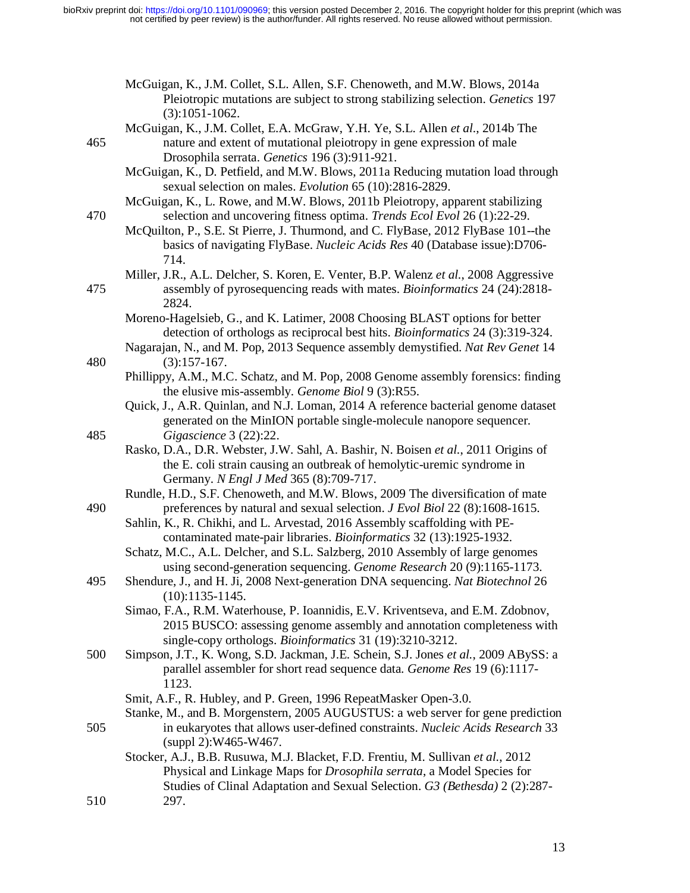|     | McGuigan, K., J.M. Collet, S.L. Allen, S.F. Chenoweth, and M.W. Blows, 2014a                                                                                     |
|-----|------------------------------------------------------------------------------------------------------------------------------------------------------------------|
|     | Pleiotropic mutations are subject to strong stabilizing selection. Genetics 197<br>$(3):1051-1062.$                                                              |
|     | McGuigan, K., J.M. Collet, E.A. McGraw, Y.H. Ye, S.L. Allen et al., 2014b The                                                                                    |
| 465 | nature and extent of mutational pleiotropy in gene expression of male                                                                                            |
|     | Drosophila serrata. Genetics 196 (3):911-921.                                                                                                                    |
|     | McGuigan, K., D. Petfield, and M.W. Blows, 2011a Reducing mutation load through                                                                                  |
|     | sexual selection on males. Evolution 65 (10):2816-2829.                                                                                                          |
|     | McGuigan, K., L. Rowe, and M.W. Blows, 2011b Pleiotropy, apparent stabilizing                                                                                    |
| 470 | selection and uncovering fitness optima. Trends Ecol Evol 26 (1):22-29.<br>McQuilton, P., S.E. St Pierre, J. Thurmond, and C. FlyBase, 2012 FlyBase 101--the     |
|     | basics of navigating FlyBase. Nucleic Acids Res 40 (Database issue):D706-                                                                                        |
|     | 714.                                                                                                                                                             |
|     | Miller, J.R., A.L. Delcher, S. Koren, E. Venter, B.P. Walenz et al., 2008 Aggressive                                                                             |
| 475 | assembly of pyrosequencing reads with mates. Bioinformatics 24 (24):2818-                                                                                        |
|     | 2824.                                                                                                                                                            |
|     | Moreno-Hagelsieb, G., and K. Latimer, 2008 Choosing BLAST options for better                                                                                     |
|     | detection of orthologs as reciprocal best hits. Bioinformatics 24 (3):319-324.                                                                                   |
| 480 | Nagarajan, N., and M. Pop, 2013 Sequence assembly demystified. Nat Rev Genet 14<br>$(3):157-167.$                                                                |
|     | Phillippy, A.M., M.C. Schatz, and M. Pop, 2008 Genome assembly forensics: finding                                                                                |
|     | the elusive mis-assembly. Genome Biol 9 (3):R55.                                                                                                                 |
|     | Quick, J., A.R. Quinlan, and N.J. Loman, 2014 A reference bacterial genome dataset                                                                               |
|     | generated on the MinION portable single-molecule nanopore sequencer.                                                                                             |
| 485 | Gigascience 3 (22):22.                                                                                                                                           |
|     | Rasko, D.A., D.R. Webster, J.W. Sahl, A. Bashir, N. Boisen et al., 2011 Origins of                                                                               |
|     | the E. coli strain causing an outbreak of hemolytic-uremic syndrome in<br>Germany. N Engl J Med 365 (8):709-717.                                                 |
|     | Rundle, H.D., S.F. Chenoweth, and M.W. Blows, 2009 The diversification of mate                                                                                   |
| 490 | preferences by natural and sexual selection. <i>J Evol Biol</i> 22 (8):1608-1615.                                                                                |
|     | Sahlin, K., R. Chikhi, and L. Arvestad, 2016 Assembly scaffolding with PE-                                                                                       |
|     | contaminated mate-pair libraries. Bioinformatics 32 (13):1925-1932.                                                                                              |
|     | Schatz, M.C., A.L. Delcher, and S.L. Salzberg, 2010 Assembly of large genomes                                                                                    |
|     | using second-generation sequencing. Genome Research 20 (9):1165-1173.                                                                                            |
| 495 | Shendure, J., and H. Ji, 2008 Next-generation DNA sequencing. Nat Biotechnol 26<br>$(10):1135-1145.$                                                             |
|     | Simao, F.A., R.M. Waterhouse, P. Ioannidis, E.V. Kriventseva, and E.M. Zdobnov,                                                                                  |
|     | 2015 BUSCO: assessing genome assembly and annotation completeness with                                                                                           |
|     | single-copy orthologs. Bioinformatics 31 (19):3210-3212.                                                                                                         |
| 500 | Simpson, J.T., K. Wong, S.D. Jackman, J.E. Schein, S.J. Jones et al., 2009 ABySS: a                                                                              |
|     | parallel assembler for short read sequence data. Genome Res 19 (6):1117-                                                                                         |
|     | 1123.                                                                                                                                                            |
|     | Smit, A.F., R. Hubley, and P. Green, 1996 RepeatMasker Open-3.0.                                                                                                 |
| 505 | Stanke, M., and B. Morgenstern, 2005 AUGUSTUS: a web server for gene prediction<br>in eukaryotes that allows user-defined constraints. Nucleic Acids Research 33 |
|     | (suppl 2): W465-W467.                                                                                                                                            |
|     | Stocker, A.J., B.B. Rusuwa, M.J. Blacket, F.D. Frentiu, M. Sullivan et al., 2012                                                                                 |
|     | Physical and Linkage Maps for Drosophila serrata, a Model Species for                                                                                            |
|     | Studies of Clinal Adaptation and Sexual Selection. G3 (Bethesda) 2 (2):287-                                                                                      |

510 297.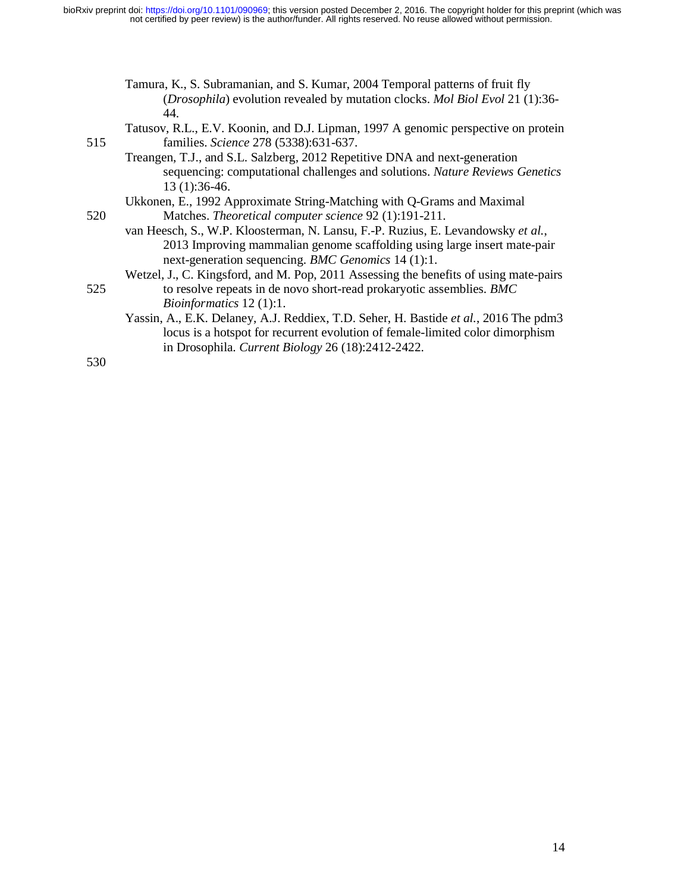| Tamura, K., S. Subramanian, and S. Kumar, 2004 Temporal patterns of fruit fly              |
|--------------------------------------------------------------------------------------------|
| <i>(Drosophila)</i> evolution revealed by mutation clocks. <i>Mol Biol Evol</i> 21 (1):36- |
| 44.                                                                                        |

- Tatusov, R.L., E.V. Koonin, and D.J. Lipman, 1997 A genomic perspective on protein 515 families. *Science* 278 (5338):631-637.
	- Treangen, T.J., and S.L. Salzberg, 2012 Repetitive DNA and next-generation sequencing: computational challenges and solutions. *Nature Reviews Genetics* 13 (1):36-46.

Ukkonen, E., 1992 Approximate String-Matching with Q-Grams and Maximal

- 520 Matches. *Theoretical computer science* 92 (1):191-211.
	- van Heesch, S., W.P. Kloosterman, N. Lansu, F.-P. Ruzius, E. Levandowsky *et al.*, 2013 Improving mammalian genome scaffolding using large insert mate-pair next-generation sequencing. *BMC Genomics* 14 (1):1.
- Wetzel, J., C. Kingsford, and M. Pop, 2011 Assessing the benefits of using mate-pairs 525 to resolve repeats in de novo short-read prokaryotic assemblies. *BMC Bioinformatics* 12 (1):1.
	- Yassin, A., E.K. Delaney, A.J. Reddiex, T.D. Seher, H. Bastide *et al.*, 2016 The pdm3 locus is a hotspot for recurrent evolution of female-limited color dimorphism in Drosophila. *Current Biology* 26 (18):2412-2422.

530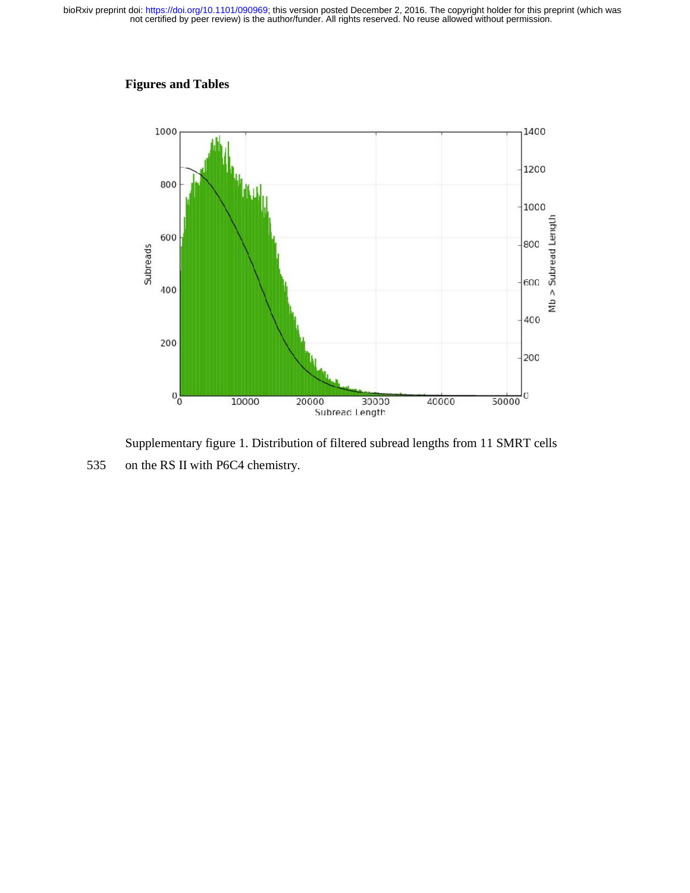# **Figures and Tables**



Supplementary figure 1. Distribution of filtered subread lengths from 11 SMRT cells 535 on the RS II with P6C4 chemistry.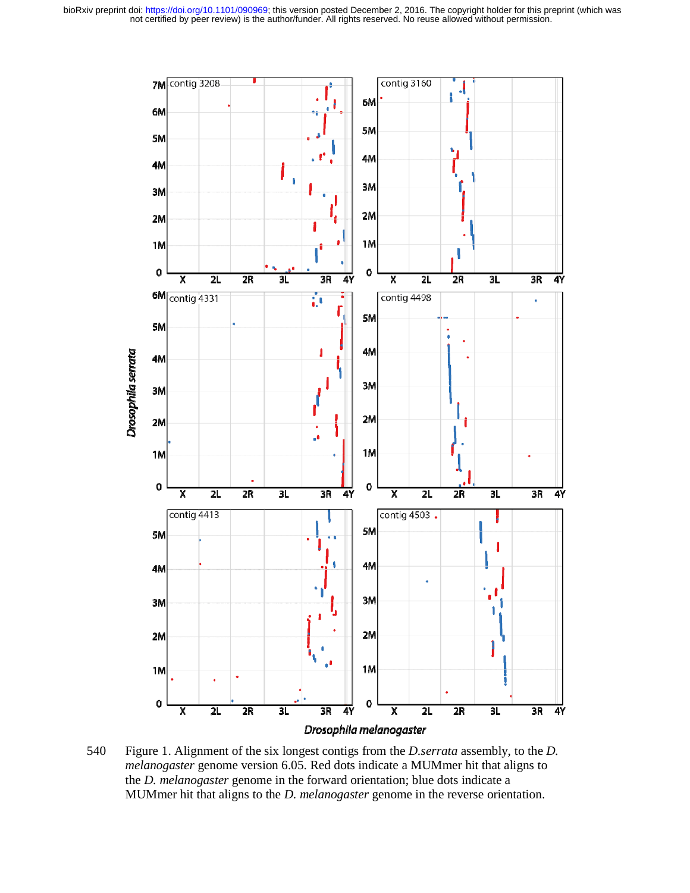

540 Figure 1. Alignment of the six longest contigs from the *D.serrata* assembly, to the *D. melanogaster* genome version 6.05. Red dots indicate a MUMmer hit that aligns to the *D. melanogaster* genome in the forward orientation; blue dots indicate a MUMmer hit that aligns to the *D. melanogaster* genome in the reverse orientation.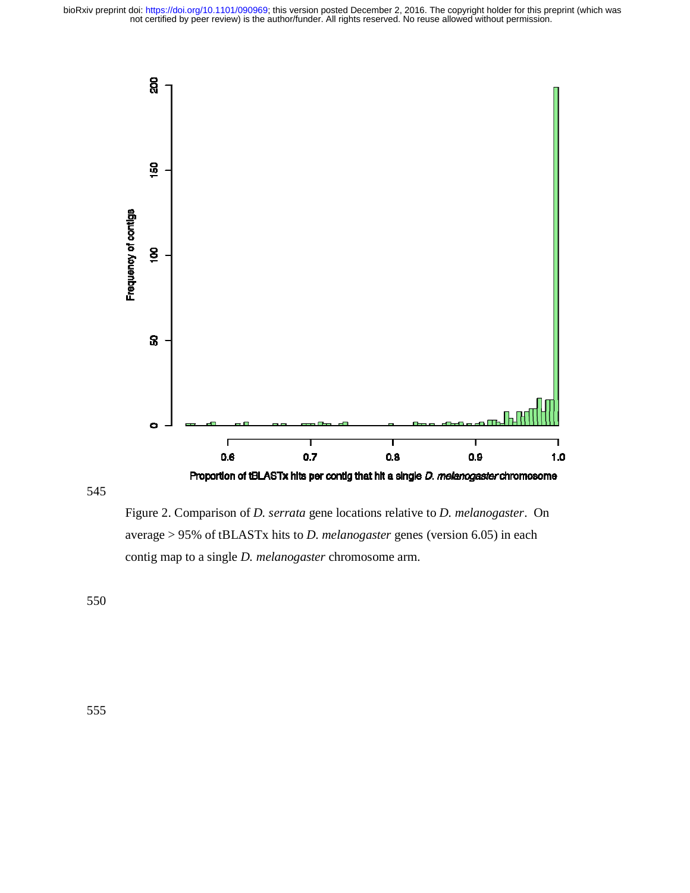

545

Figure 2. Comparison of *D. serrata* gene locations relative to *D. melanogaster*. On average > 95% of tBLASTx hits to *D. melanogaster* genes (version 6.05) in each contig map to a single *D. melanogaster* chromosome arm.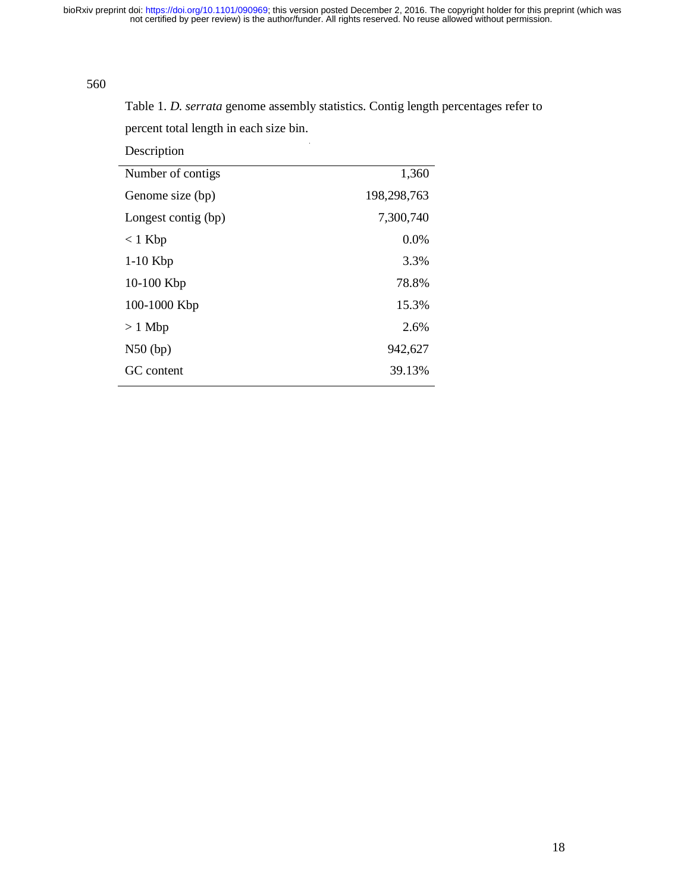# 560

Table 1. *D. serrata* genome assembly statistics. Contig length percentages refer to percent total length in each size bin.

| Description         |             |
|---------------------|-------------|
| Number of contigs   | 1,360       |
| Genome size (bp)    | 198,298,763 |
| Longest contig (bp) | 7,300,740   |
| $<$ 1 Kbp           | 0.0%        |
| $1-10$ Kbp          | 3.3%        |
| 10-100 Kbp          | 78.8%       |
| 100-1000 Kbp        | 15.3%       |
| $>1$ Mbp            | 2.6%        |
| $N50$ (bp)          | 942,627     |
| GC content          | 39.13%      |